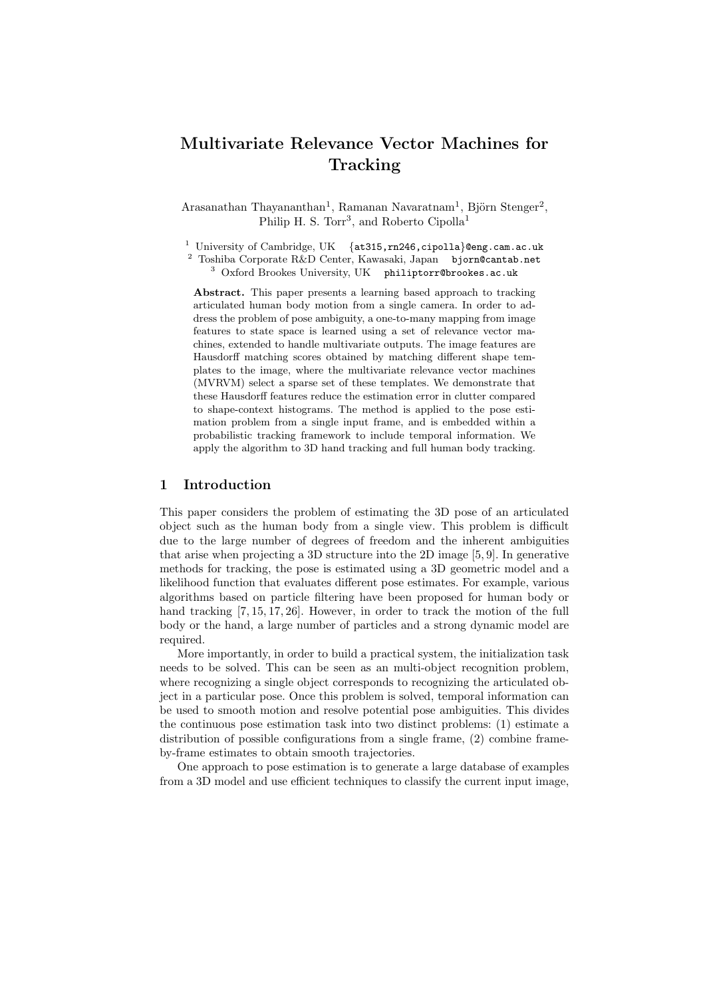## Multivariate Relevance Vector Machines for **Tracking**

 $A$ rasanathan Thayananthan<sup>1</sup>, Ramanan Navaratnam<sup>1</sup>, Björn Stenger<sup>2</sup>, Philip H. S. Torr<sup>3</sup>, and Roberto Cipolla<sup>1</sup>

<sup>1</sup> University of Cambridge, UK  $\{at315, rn246, cipolla\}$ @eng.cam.ac.uk

<sup>2</sup> Toshiba Corporate R&D Center, Kawasaki, Japan bjorn@cantab.net

<sup>3</sup> Oxford Brookes University, UK philiptorr@brookes.ac.uk

Abstract. This paper presents a learning based approach to tracking articulated human body motion from a single camera. In order to address the problem of pose ambiguity, a one-to-many mapping from image features to state space is learned using a set of relevance vector machines, extended to handle multivariate outputs. The image features are Hausdorff matching scores obtained by matching different shape templates to the image, where the multivariate relevance vector machines (MVRVM) select a sparse set of these templates. We demonstrate that these Hausdorff features reduce the estimation error in clutter compared to shape-context histograms. The method is applied to the pose estimation problem from a single input frame, and is embedded within a probabilistic tracking framework to include temporal information. We apply the algorithm to 3D hand tracking and full human body tracking.

#### 1 Introduction

This paper considers the problem of estimating the 3D pose of an articulated object such as the human body from a single view. This problem is difficult due to the large number of degrees of freedom and the inherent ambiguities that arise when projecting a 3D structure into the 2D image [5, 9]. In generative methods for tracking, the pose is estimated using a 3D geometric model and a likelihood function that evaluates different pose estimates. For example, various algorithms based on particle filtering have been proposed for human body or hand tracking [7, 15, 17, 26]. However, in order to track the motion of the full body or the hand, a large number of particles and a strong dynamic model are required.

More importantly, in order to build a practical system, the initialization task needs to be solved. This can be seen as an multi-object recognition problem, where recognizing a single object corresponds to recognizing the articulated object in a particular pose. Once this problem is solved, temporal information can be used to smooth motion and resolve potential pose ambiguities. This divides the continuous pose estimation task into two distinct problems: (1) estimate a distribution of possible configurations from a single frame, (2) combine frameby-frame estimates to obtain smooth trajectories.

One approach to pose estimation is to generate a large database of examples from a 3D model and use efficient techniques to classify the current input image,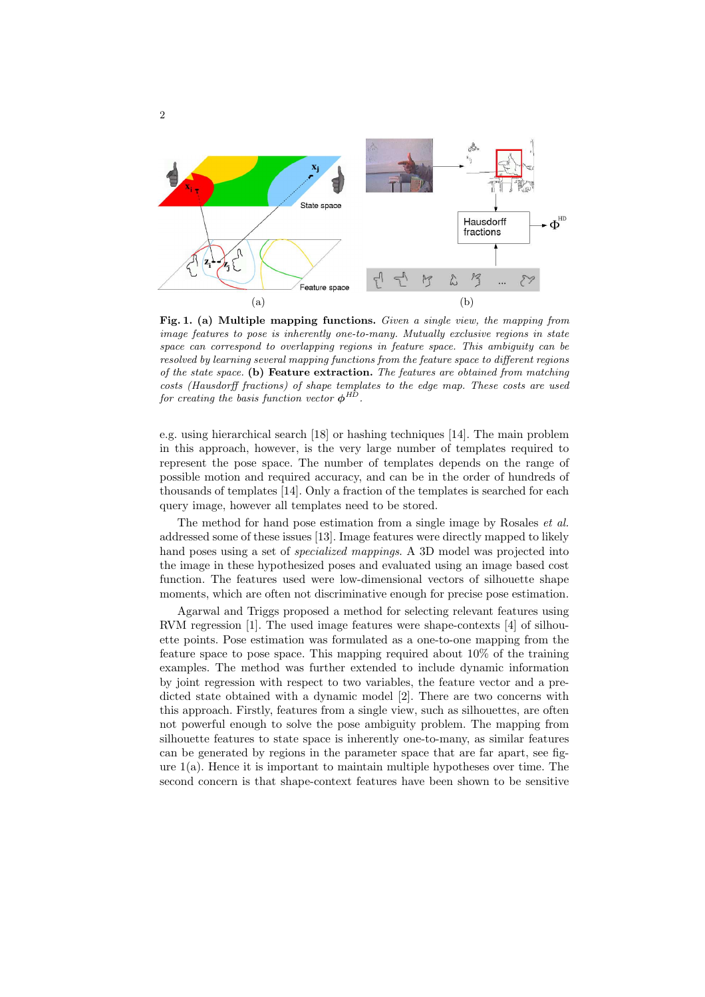

Fig. 1. (a) Multiple mapping functions. Given a single view, the mapping from image features to pose is inherently one-to-many. Mutually exclusive regions in state space can correspond to overlapping regions in feature space. This ambiguity can be resolved by learning several mapping functions from the feature space to different regions of the state space. (b) Feature extraction. The features are obtained from matching costs (Hausdorff fractions) of shape templates to the edge map. These costs are used for creating the basis function vector  $\phi^{HD}$ .

e.g. using hierarchical search [18] or hashing techniques [14]. The main problem in this approach, however, is the very large number of templates required to represent the pose space. The number of templates depends on the range of possible motion and required accuracy, and can be in the order of hundreds of thousands of templates [14]. Only a fraction of the templates is searched for each query image, however all templates need to be stored.

The method for hand pose estimation from a single image by Rosales *et al.* addressed some of these issues [13]. Image features were directly mapped to likely hand poses using a set of specialized mappings. A 3D model was projected into the image in these hypothesized poses and evaluated using an image based cost function. The features used were low-dimensional vectors of silhouette shape moments, which are often not discriminative enough for precise pose estimation.

Agarwal and Triggs proposed a method for selecting relevant features using RVM regression [1]. The used image features were shape-contexts [4] of silhouette points. Pose estimation was formulated as a one-to-one mapping from the feature space to pose space. This mapping required about 10% of the training examples. The method was further extended to include dynamic information by joint regression with respect to two variables, the feature vector and a predicted state obtained with a dynamic model [2]. There are two concerns with this approach. Firstly, features from a single view, such as silhouettes, are often not powerful enough to solve the pose ambiguity problem. The mapping from silhouette features to state space is inherently one-to-many, as similar features can be generated by regions in the parameter space that are far apart, see figure  $1(a)$ . Hence it is important to maintain multiple hypotheses over time. The second concern is that shape-context features have been shown to be sensitive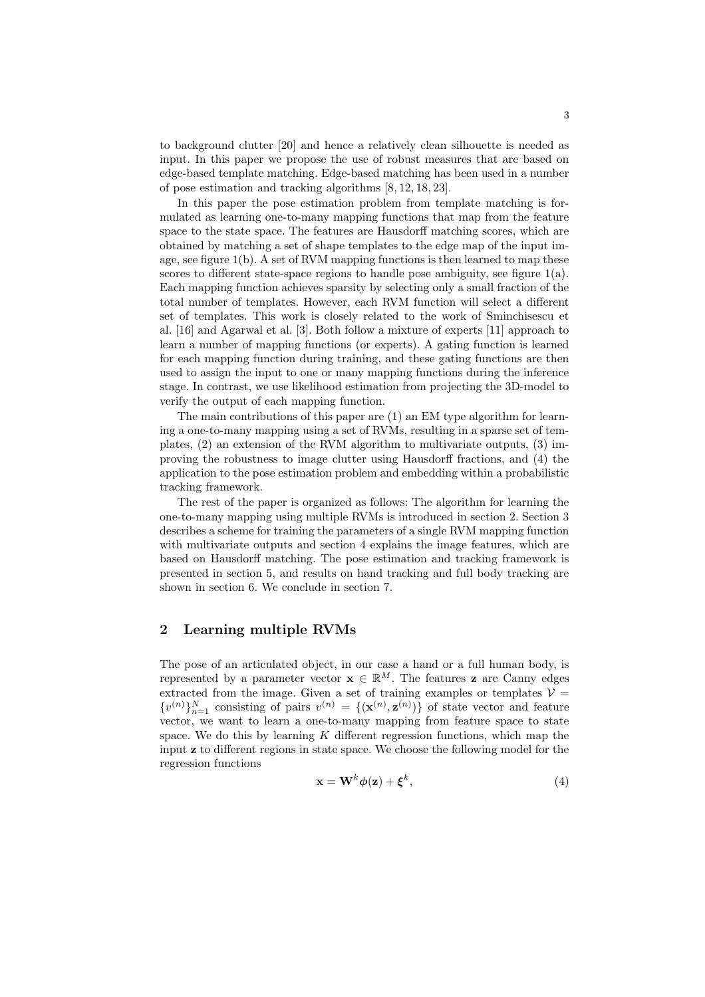to background clutter [20] and hence a relatively clean silhouette is needed as input. In this paper we propose the use of robust measures that are based on edge-based template matching. Edge-based matching has been used in a number of pose estimation and tracking algorithms [8, 12, 18, 23].

In this paper the pose estimation problem from template matching is formulated as learning one-to-many mapping functions that map from the feature space to the state space. The features are Hausdorff matching scores, which are obtained by matching a set of shape templates to the edge map of the input image, see figure  $1(b)$ . A set of RVM mapping functions is then learned to map these scores to different state-space regions to handle pose ambiguity, see figure  $1(a)$ . Each mapping function achieves sparsity by selecting only a small fraction of the total number of templates. However, each RVM function will select a different set of templates. This work is closely related to the work of Sminchisescu et al. [16] and Agarwal et al. [3]. Both follow a mixture of experts [11] approach to learn a number of mapping functions (or experts). A gating function is learned for each mapping function during training, and these gating functions are then used to assign the input to one or many mapping functions during the inference stage. In contrast, we use likelihood estimation from projecting the 3D-model to verify the output of each mapping function.

The main contributions of this paper are (1) an EM type algorithm for learning a one-to-many mapping using a set of RVMs, resulting in a sparse set of templates, (2) an extension of the RVM algorithm to multivariate outputs, (3) improving the robustness to image clutter using Hausdorff fractions, and (4) the application to the pose estimation problem and embedding within a probabilistic tracking framework.

The rest of the paper is organized as follows: The algorithm for learning the one-to-many mapping using multiple RVMs is introduced in section 2. Section 3 describes a scheme for training the parameters of a single RVM mapping function with multivariate outputs and section 4 explains the image features, which are based on Hausdorff matching. The pose estimation and tracking framework is presented in section 5, and results on hand tracking and full body tracking are shown in section 6. We conclude in section 7.

#### 2 Learning multiple RVMs

The pose of an articulated object, in our case a hand or a full human body, is represented by a parameter vector  $\mathbf{x} \in \mathbb{R}^M$ . The features **z** are Canny edges extracted from the image. Given a set of training examples or templates  $V =$  $\{v^{(n)}\}_{n=1}^N$  consisting of pairs  $v^{(n)} = \{(\mathbf{x}^{(n)}, \mathbf{z}^{(n)})\}$  of state vector and feature vector, we want to learn a one-to-many mapping from feature space to state space. We do this by learning  $K$  different regression functions, which map the input z to different regions in state space. We choose the following model for the regression functions

$$
\mathbf{x} = \mathbf{W}^k \boldsymbol{\phi}(\mathbf{z}) + \boldsymbol{\xi}^k,\tag{4}
$$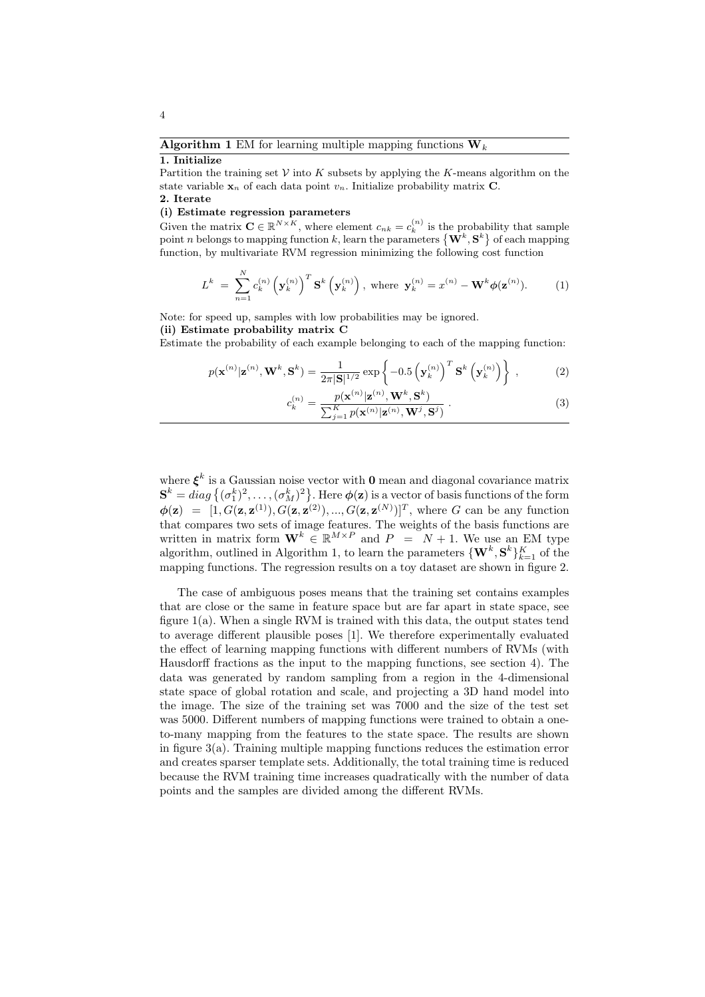# 1. Initialize

Partition the training set  $V$  into K subsets by applying the K-means algorithm on the state variable  $x_n$  of each data point  $v_n$ . Initialize probability matrix C. 2. Iterate

#### (i) Estimate regression parameters

Given the matrix  $\mathbf{C} \in \mathbb{R}^{N \times K}$ , where element  $c_{nk} = c_k^{(n)}$  is the probability that sample point n belongs to mapping function k, learn the parameters  $\{ {\bf W}^k,{\bf S}^k \}$  of each mapping function, by multivariate RVM regression minimizing the following cost function

$$
L^{k} = \sum_{n=1}^{N} c_{k}^{(n)} \left(\mathbf{y}_{k}^{(n)}\right)^{T} \mathbf{S}^{k} \left(\mathbf{y}_{k}^{(n)}\right), \text{ where } \mathbf{y}_{k}^{(n)} = x^{(n)} - \mathbf{W}^{k} \phi(\mathbf{z}^{(n)}).
$$
 (1)

Note: for speed up, samples with low probabilities may be ignored.

(ii) Estimate probability matrix C

Estimate the probability of each example belonging to each of the mapping function:

$$
p(\mathbf{x}^{(n)}|\mathbf{z}^{(n)}, \mathbf{W}^k, \mathbf{S}^k) = \frac{1}{2\pi |\mathbf{S}|^{1/2}} \exp\left\{-0.5\left(\mathbf{y}_k^{(n)}\right)^T \mathbf{S}^k\left(\mathbf{y}_k^{(n)}\right)\right\} ,\qquad(2)
$$

$$
c_k^{(n)} = \frac{p(\mathbf{x}^{(n)}|\mathbf{z}^{(n)}, \mathbf{W}^k, \mathbf{S}^k)}{\sum_{j=1}^K p(\mathbf{x}^{(n)}|\mathbf{z}^{(n)}, \mathbf{W}^j, \mathbf{S}^j)}.
$$
(3)

where  $\xi^k$  is a Gaussian noise vector with **0** mean and diagonal covariance matrix  $\mathbf{S}^k=diag\left\{(\sigma_1^k)^2,\ldots,(\sigma_M^k)^2\right\}.$  Here  $\boldsymbol{\phi}(\mathbf{z})$  is a vector of basis functions of the form  $\phi(\mathbf{z}) = [1, G(\mathbf{z}, \mathbf{z}^{(1)}), G(\mathbf{z}, \mathbf{z}^{(2)}), ..., G(\mathbf{z}, \mathbf{z}^{(N)})]^T$ , where G can be any function that compares two sets of image features. The weights of the basis functions are written in matrix form  $\mathbf{W}^k \in \mathbb{R}^{M \times P}$  and  $P = N + 1$ . We use an EM type algorithm, outlined in Algorithm 1, to learn the parameters  $\{ {\bf W}^k,{\bf S}^k \}_{k=1}^K$  of the mapping functions. The regression results on a toy dataset are shown in figure 2.

The case of ambiguous poses means that the training set contains examples that are close or the same in feature space but are far apart in state space, see figure 1(a). When a single RVM is trained with this data, the output states tend to average different plausible poses [1]. We therefore experimentally evaluated the effect of learning mapping functions with different numbers of RVMs (with Hausdorff fractions as the input to the mapping functions, see section 4). The data was generated by random sampling from a region in the 4-dimensional state space of global rotation and scale, and projecting a 3D hand model into the image. The size of the training set was 7000 and the size of the test set was 5000. Different numbers of mapping functions were trained to obtain a oneto-many mapping from the features to the state space. The results are shown in figure 3(a). Training multiple mapping functions reduces the estimation error and creates sparser template sets. Additionally, the total training time is reduced because the RVM training time increases quadratically with the number of data points and the samples are divided among the different RVMs.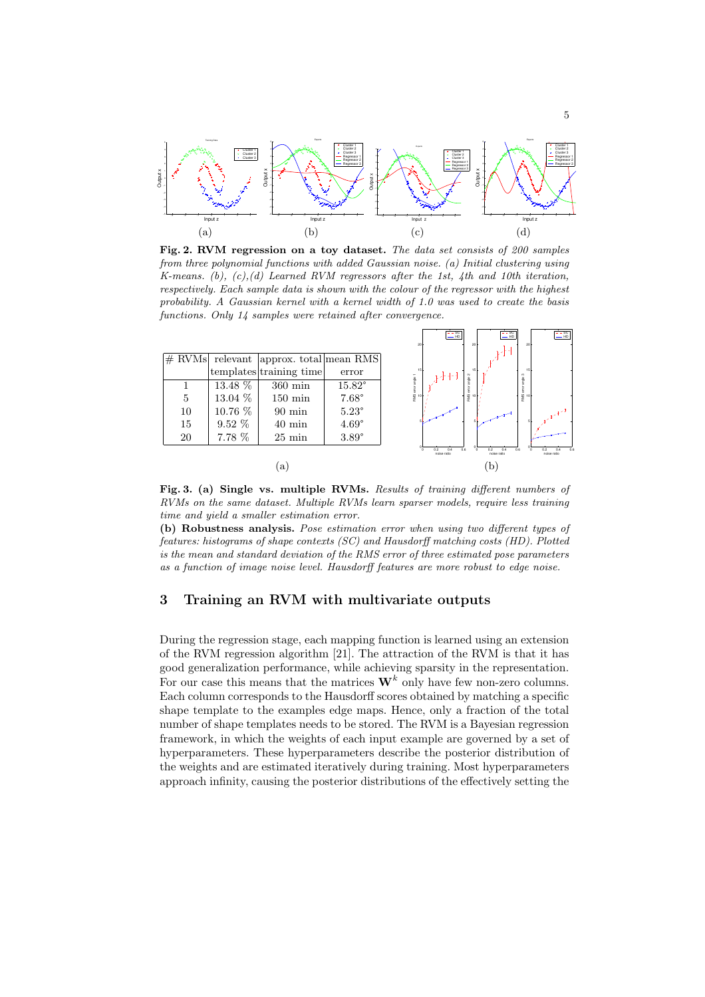

Fig. 2. RVM regression on a toy dataset. The data set consists of 200 samples from three polynomial functions with added Gaussian noise. (a) Initial clustering using K-means. (b),  $(c)$ , (d) Learned RVM regressors after the 1st, 4th and 10th iteration, respectively. Each sample data is shown with the colour of the regressor with the highest probability. A Gaussian kernel with a kernel width of 1.0 was used to create the basis functions. Only 14 samples were retained after convergence.

SC

 $\sqrt{ }$ 

SC

 $\sqrt{ }$ 

|    |          |                                          |                |                 | $-$ HD $\parallel$      |                  | $-$ HD                    |                 | $-HD$                     |
|----|----------|------------------------------------------|----------------|-----------------|-------------------------|------------------|---------------------------|-----------------|---------------------------|
|    |          |                                          |                | 20              |                         | 20               |                           | 20 <sub>1</sub> |                           |
|    |          | $#$ RVMs relevant approx. total mean RMS |                |                 |                         |                  |                           |                 |                           |
|    |          | templates training time                  | error          | 15<br>angle 1   |                         | 15               |                           | 15<br>o         |                           |
|    | 13.48 %  | $360 \,\mathrm{min}$                     | 15.82°         |                 |                         |                  |                           |                 |                           |
| 5  | 13.04 %  | $150 \text{ min}$                        | $7.68^\circ$   | RMS error<br>15 |                         | $\frac{9}{5}$ 10 |                           | 동<br>또 10       |                           |
| 10 | 10.76 %  | $90 \text{ min}$                         | $5.23^{\circ}$ |                 |                         |                  |                           |                 |                           |
| 15 | $9.52\%$ | $40 \text{ min}$                         | $4.69^{\circ}$ |                 |                         |                  |                           |                 |                           |
| 20 | 7.78 %   | $25 \text{ min}$                         | $3.89^\circ$   |                 |                         |                  |                           |                 |                           |
|    |          |                                          |                |                 | 02<br>04<br>noise ratio | 0 <sub>5</sub>   | 0.2<br>0.4<br>noise ratio | 0.6             | 0.2<br>0.4<br>noise ratio |
| a  |          |                                          |                | $\mathbf{p}$    |                         |                  |                           |                 |                           |

Fig. 3. (a) Single vs. multiple RVMs. Results of training different numbers of RVMs on the same dataset. Multiple RVMs learn sparser models, require less training time and yield a smaller estimation error.

(b) Robustness analysis. Pose estimation error when using two different types of features: histograms of shape contexts (SC) and Hausdorff matching costs (HD). Plotted is the mean and standard deviation of the RMS error of three estimated pose parameters as a function of image noise level. Hausdorff features are more robust to edge noise.

## 3 Training an RVM with multivariate outputs

During the regression stage, each mapping function is learned using an extension of the RVM regression algorithm [21]. The attraction of the RVM is that it has good generalization performance, while achieving sparsity in the representation. For our case this means that the matrices  $\mathbf{W}^k$  only have few non-zero columns. Each column corresponds to the Hausdorff scores obtained by matching a specific shape template to the examples edge maps. Hence, only a fraction of the total number of shape templates needs to be stored. The RVM is a Bayesian regression framework, in which the weights of each input example are governed by a set of hyperparameters. These hyperparameters describe the posterior distribution of the weights and are estimated iteratively during training. Most hyperparameters approach infinity, causing the posterior distributions of the effectively setting the

SC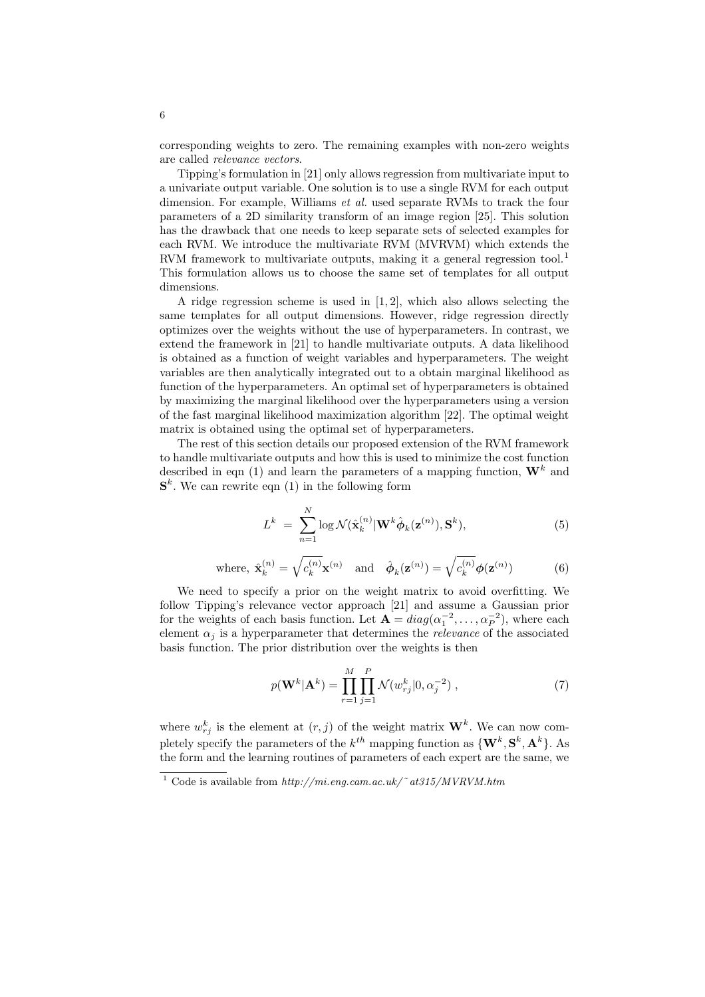corresponding weights to zero. The remaining examples with non-zero weights are called relevance vectors.

Tipping's formulation in [21] only allows regression from multivariate input to a univariate output variable. One solution is to use a single RVM for each output dimension. For example, Williams *et al.* used separate RVMs to track the four parameters of a 2D similarity transform of an image region [25]. This solution has the drawback that one needs to keep separate sets of selected examples for each RVM. We introduce the multivariate RVM (MVRVM) which extends the RVM framework to multivariate outputs, making it a general regression tool.<sup>1</sup> This formulation allows us to choose the same set of templates for all output dimensions.

A ridge regression scheme is used in  $[1, 2]$ , which also allows selecting the same templates for all output dimensions. However, ridge regression directly optimizes over the weights without the use of hyperparameters. In contrast, we extend the framework in [21] to handle multivariate outputs. A data likelihood is obtained as a function of weight variables and hyperparameters. The weight variables are then analytically integrated out to a obtain marginal likelihood as function of the hyperparameters. An optimal set of hyperparameters is obtained by maximizing the marginal likelihood over the hyperparameters using a version of the fast marginal likelihood maximization algorithm [22]. The optimal weight matrix is obtained using the optimal set of hyperparameters.

The rest of this section details our proposed extension of the RVM framework to handle multivariate outputs and how this is used to minimize the cost function described in eqn (1) and learn the parameters of a mapping function,  $\mathbf{W}^{k}$  and  $\mathbf{S}^k$ . We can rewrite eqn (1) in the following form

$$
L^{k} = \sum_{n=1}^{N} \log \mathcal{N}(\hat{\mathbf{x}}_{k}^{(n)} | \mathbf{W}^{k} \hat{\boldsymbol{\phi}}_{k}(\mathbf{z}^{(n)}), \mathbf{S}^{k}),
$$
\n(5)

where, 
$$
\hat{\mathbf{x}}_k^{(n)} = \sqrt{c_k^{(n)}} \mathbf{x}^{(n)}
$$
 and  $\hat{\boldsymbol{\phi}}_k(\mathbf{z}^{(n)}) = \sqrt{c_k^{(n)}} \boldsymbol{\phi}(\mathbf{z}^{(n)})$  (6)

We need to specify a prior on the weight matrix to avoid overfitting. We follow Tipping's relevance vector approach [21] and assume a Gaussian prior for the weights of each basis function. Let  $\mathbf{A} = diag(\alpha_1^{-2}, \dots, \alpha_P^{-2})$ , where each element  $\alpha_i$  is a hyperparameter that determines the *relevance* of the associated basis function. The prior distribution over the weights is then

$$
p(\mathbf{W}^{k}|\mathbf{A}^{k}) = \prod_{r=1}^{M} \prod_{j=1}^{P} \mathcal{N}(w_{rj}^{k}|0, \alpha_{j}^{-2}),
$$
\n(7)

where  $w_{rj}^k$  is the element at  $(r, j)$  of the weight matrix  $\mathbf{W}^k$ . We can now completely specify the parameters of the  $k^{th}$  mapping function as  $\{ {\bf W}^{k},{\bf S}^{k},{\bf A}^{k} \}$ . As the form and the learning routines of parameters of each expert are the same, we

 $\frac{1}{1}$  Code is available from http://mi.eng.cam.ac.uk/~at315/MVRVM.htm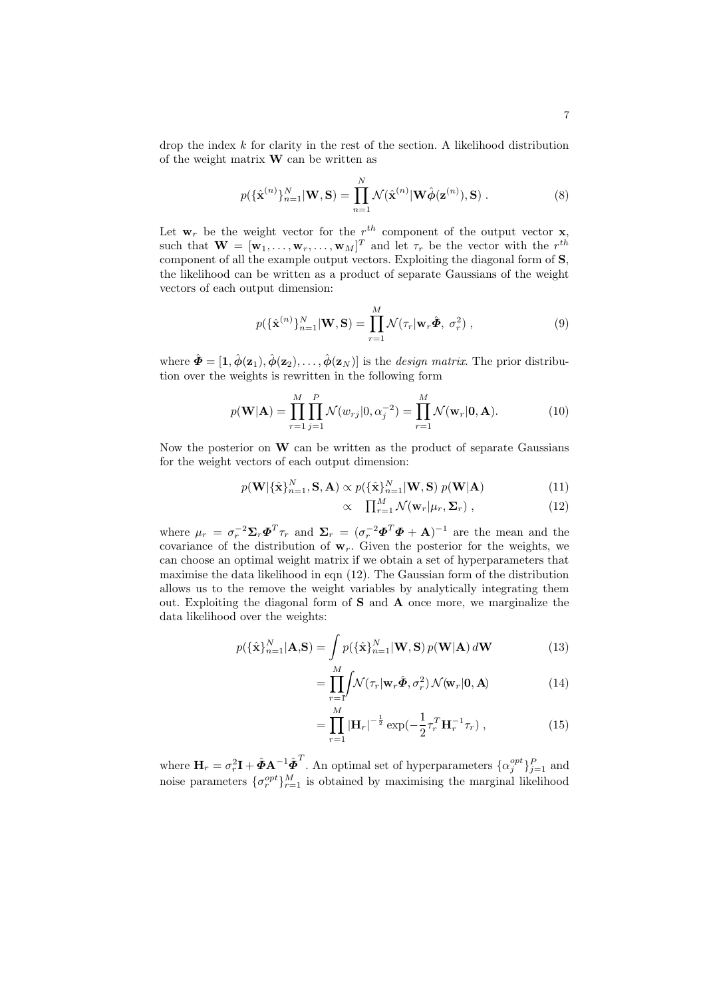drop the index  $k$  for clarity in the rest of the section. A likelihood distribution of the weight matrix  $\bf{W}$  can be written as

$$
p(\{\hat{\mathbf{x}}^{(n)}\}_{n=1}^N|\mathbf{W},\mathbf{S}) = \prod_{n=1}^N \mathcal{N}(\hat{\mathbf{x}}^{(n)}|\mathbf{W}\hat{\boldsymbol{\phi}}(\mathbf{z}^{(n)}),\mathbf{S}).
$$
\n(8)

Let  $\mathbf{w}_r$  be the weight vector for the  $r^{th}$  component of the output vector **x**, such that  $\mathbf{W} = [\mathbf{w}_1, \dots, \mathbf{w}_r, \dots, \mathbf{w}_M]^T$  and let  $\tau_r$  be the vector with the  $r^{th}$ component of all the example output vectors. Exploiting the diagonal form of S, the likelihood can be written as a product of separate Gaussians of the weight vectors of each output dimension:

$$
p(\{\hat{\mathbf{x}}^{(n)}\}_{n=1}^N|\mathbf{W},\mathbf{S}) = \prod_{r=1}^M \mathcal{N}(\tau_r|\mathbf{w}_r\hat{\boldsymbol{\Phi}}, \sigma_r^2) ,
$$
 (9)

where  $\hat{\Phi} = [1, \hat{\phi}(\mathbf{z}_1), \hat{\phi}(\mathbf{z}_2), \dots, \hat{\phi}(\mathbf{z}_N)]$  is the *design matrix*. The prior distribution over the weights is rewritten in the following form

$$
p(\mathbf{W}|\mathbf{A}) = \prod_{r=1}^{M} \prod_{j=1}^{P} \mathcal{N}(w_{rj}|0, \alpha_j^{-2}) = \prod_{r=1}^{M} \mathcal{N}(\mathbf{w}_r|\mathbf{0}, \mathbf{A}).
$$
 (10)

Now the posterior on  $W$  can be written as the product of separate Gaussians for the weight vectors of each output dimension:

$$
p(\mathbf{W}|\{\hat{\mathbf{x}}\}_{n=1}^{N}, \mathbf{S}, \mathbf{A}) \propto p(\{\hat{\mathbf{x}}\}_{n=1}^{N}|\mathbf{W}, \mathbf{S}) p(\mathbf{W}|\mathbf{A})
$$
\n(11)

$$
\propto \prod_{r=1}^{M} \mathcal{N}(\mathbf{w}_r | \mu_r, \Sigma_r), \qquad (12)
$$

where  $\mu_r = \sigma_r^{-2} \Sigma_r \mathbf{\Phi}^T \tau_r$  and  $\Sigma_r = (\sigma_r^{-2} \mathbf{\Phi}^T \mathbf{\Phi} + \mathbf{A})^{-1}$  are the mean and the covariance of the distribution of  $w_r$ . Given the posterior for the weights, we can choose an optimal weight matrix if we obtain a set of hyperparameters that maximise the data likelihood in eqn (12). The Gaussian form of the distribution allows us to the remove the weight variables by analytically integrating them out. Exploiting the diagonal form of S and A once more, we marginalize the data likelihood over the weights:

$$
p(\{\hat{\mathbf{x}}\}_{n=1}^N|\mathbf{A},\mathbf{S}) = \int p(\{\hat{\mathbf{x}}\}_{n=1}^N|\mathbf{W},\mathbf{S}) p(\mathbf{W}|\mathbf{A}) d\mathbf{W}
$$
(13)

$$
= \prod_{r=1}^{M} \int \mathcal{N}(\tau_r | \mathbf{w}_r \hat{\boldsymbol{\Phi}}, \sigma_r^2) \mathcal{N}(\mathbf{w}_r | \mathbf{0}, \mathbf{A}) \tag{14}
$$

$$
= \prod_{r=1}^{M} |\mathbf{H}_r|^{-\frac{1}{2}} \exp\left(-\frac{1}{2}\tau_r^T \mathbf{H}_r^{-1} \tau_r\right), \tag{15}
$$

where  $\mathbf{H}_r = \sigma_r^2 \mathbf{I} + \hat{\boldsymbol{\Phi}} \mathbf{A}^{-1} \hat{\boldsymbol{\Phi}}^T$ . An optimal set of hyperparameters  $\{\alpha_j^{opt}\}_{j=1}^P$  and noise parameters  $\{\sigma_r^{opt}\}_{r=1}^M$  is obtained by maximising the marginal likelihood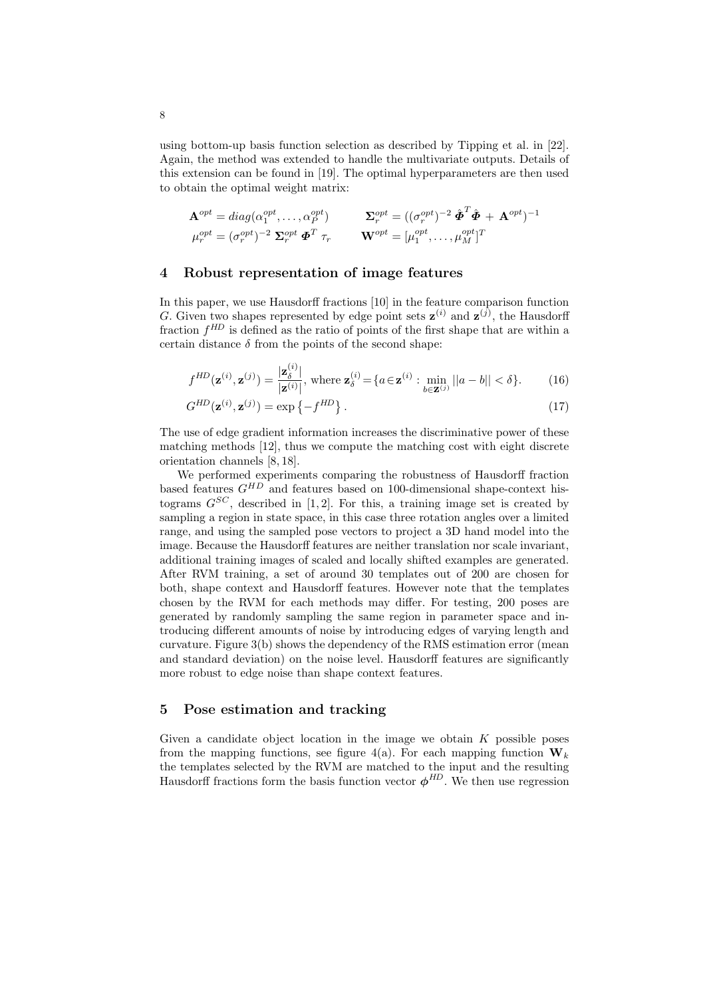using bottom-up basis function selection as described by Tipping et al. in [22]. Again, the method was extended to handle the multivariate outputs. Details of this extension can be found in [19]. The optimal hyperparameters are then used to obtain the optimal weight matrix:

$$
\mathbf{A}^{opt} = diag(\alpha_1^{opt}, \dots, \alpha_P^{opt}) \qquad \mathbf{\Sigma}_r^{opt} = ((\sigma_r^{opt})^{-2} \hat{\mathbf{\Phi}}^T \hat{\mathbf{\Phi}} + \mathbf{A}^{opt})^{-1} \mu_r^{opt} = (\sigma_r^{opt})^{-2} \mathbf{\Sigma}_r^{opt} \mathbf{\Phi}^T \tau_r \qquad \mathbf{W}^{opt} = [\mu_1^{opt}, \dots, \mu_M^{opt}]^T
$$

#### 4 Robust representation of image features

In this paper, we use Hausdorff fractions [10] in the feature comparison function G. Given two shapes represented by edge point sets  $z^{(i)}$  and  $z^{(j)}$ , the Hausdorff fraction  $f^{HD}$  is defined as the ratio of points of the first shape that are within a certain distance  $\delta$  from the points of the second shape:

$$
f^{HD}(\mathbf{z}^{(i)}, \mathbf{z}^{(j)}) = \frac{|\mathbf{z}_{\delta}^{(i)}|}{|\mathbf{z}^{(i)}|}, \text{ where } \mathbf{z}_{\delta}^{(i)} = \{a \in \mathbf{z}^{(i)} : \min_{b \in \mathbf{z}^{(j)}} ||a - b|| < \delta\}. \tag{16}
$$

$$
G^{HD}(\mathbf{z}^{(i)}, \mathbf{z}^{(j)}) = \exp\left\{-f^{HD}\right\}.
$$
\n(17)

The use of edge gradient information increases the discriminative power of these matching methods [12], thus we compute the matching cost with eight discrete orientation channels [8, 18].

We performed experiments comparing the robustness of Hausdorff fraction based features  $G^{HD}$  and features based on 100-dimensional shape-context histograms  $G^{SC}$ , described in [1, 2]. For this, a training image set is created by sampling a region in state space, in this case three rotation angles over a limited range, and using the sampled pose vectors to project a 3D hand model into the image. Because the Hausdorff features are neither translation nor scale invariant, additional training images of scaled and locally shifted examples are generated. After RVM training, a set of around 30 templates out of 200 are chosen for both, shape context and Hausdorff features. However note that the templates chosen by the RVM for each methods may differ. For testing, 200 poses are generated by randomly sampling the same region in parameter space and introducing different amounts of noise by introducing edges of varying length and curvature. Figure 3(b) shows the dependency of the RMS estimation error (mean and standard deviation) on the noise level. Hausdorff features are significantly more robust to edge noise than shape context features.

#### 5 Pose estimation and tracking

Given a candidate object location in the image we obtain  $K$  possible poses from the mapping functions, see figure 4(a). For each mapping function  $W_k$ the templates selected by the RVM are matched to the input and the resulting Hausdorff fractions form the basis function vector  $\phi^{HD}$ . We then use regression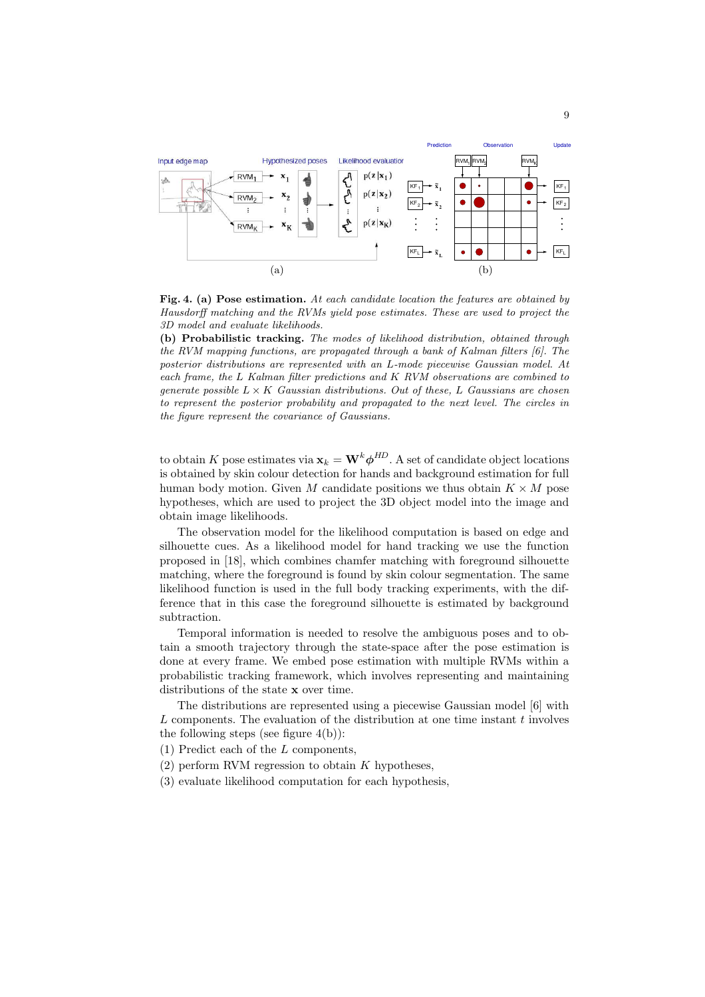

Fig. 4. (a) Pose estimation. At each candidate location the features are obtained by Hausdorff matching and the RVMs yield pose estimates. These are used to project the 3D model and evaluate likelihoods.

(b) Probabilistic tracking. The modes of likelihood distribution, obtained through the RVM mapping functions, are propagated through a bank of Kalman filters [6]. The posterior distributions are represented with an L-mode piecewise Gaussian model. At each frame, the L Kalman filter predictions and K RVM observations are combined to generate possible  $L \times K$  Gaussian distributions. Out of these, L Gaussians are chosen to represent the posterior probability and propagated to the next level. The circles in the figure represent the covariance of Gaussians.

to obtain  $K$  pose estimates via  $\mathbf{x}_k = \mathbf{W}^k \boldsymbol{\phi}^{HD}$ . A set of candidate object locations is obtained by skin colour detection for hands and background estimation for full human body motion. Given M candidate positions we thus obtain  $K \times M$  pose hypotheses, which are used to project the 3D object model into the image and obtain image likelihoods.

The observation model for the likelihood computation is based on edge and silhouette cues. As a likelihood model for hand tracking we use the function proposed in [18], which combines chamfer matching with foreground silhouette matching, where the foreground is found by skin colour segmentation. The same likelihood function is used in the full body tracking experiments, with the difference that in this case the foreground silhouette is estimated by background subtraction.

Temporal information is needed to resolve the ambiguous poses and to obtain a smooth trajectory through the state-space after the pose estimation is done at every frame. We embed pose estimation with multiple RVMs within a probabilistic tracking framework, which involves representing and maintaining distributions of the state x over time.

The distributions are represented using a piecewise Gaussian model [6] with L components. The evaluation of the distribution at one time instant  $t$  involves the following steps (see figure  $4(b)$ ):

(1) Predict each of the L components,

- $(2)$  perform RVM regression to obtain K hypotheses,
- (3) evaluate likelihood computation for each hypothesis,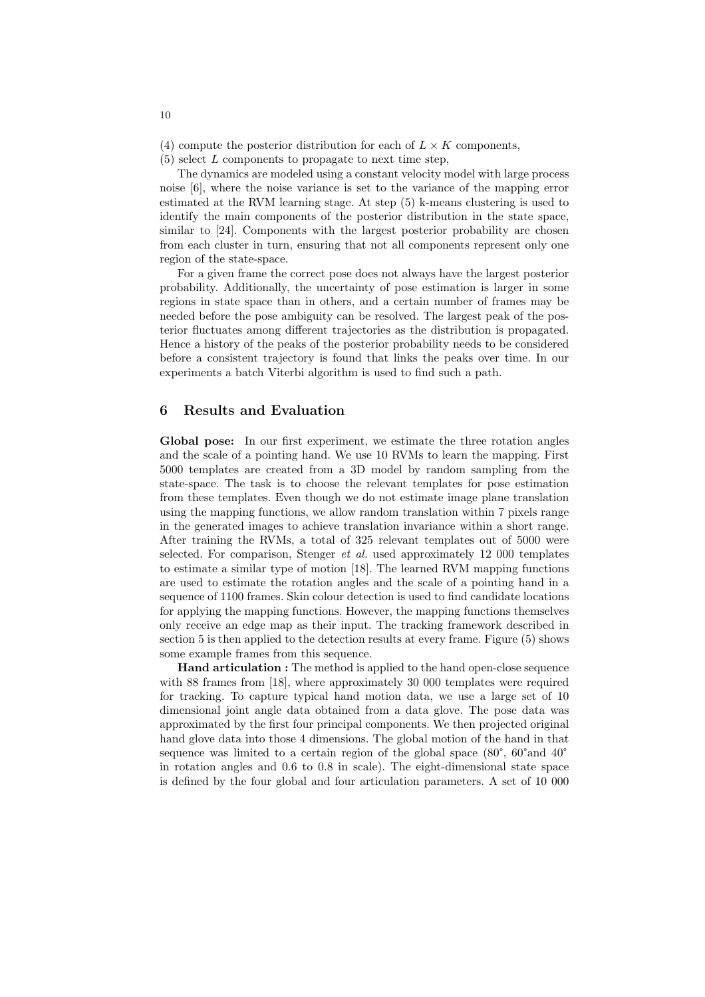(4) compute the posterior distribution for each of  $L \times K$  components,

 $(5)$  select L components to propagate to next time step,

The dynamics are modeled using a constant velocity model with large process noise [6], where the noise variance is set to the variance of the mapping error estimated at the RVM learning stage. At step (5) k-means clustering is used to identify the main components of the posterior distribution in the state space, similar to [24]. Components with the largest posterior probability are chosen from each cluster in turn, ensuring that not all components represent only one region of the state-space.

For a given frame the correct pose does not always have the largest posterior probability. Additionally, the uncertainty of pose estimation is larger in some regions in state space than in others, and a certain number of frames may be needed before the pose ambiguity can be resolved. The largest peak of the posterior fluctuates among different trajectories as the distribution is propagated. Hence a history of the peaks of the posterior probability needs to be considered before a consistent trajectory is found that links the peaks over time. In our experiments a batch Viterbi algorithm is used to find such a path.

#### 6 Results and Evaluation

Global pose: In our first experiment, we estimate the three rotation angles and the scale of a pointing hand. We use 10 RVMs to learn the mapping. First 5000 templates are created from a 3D model by random sampling from the state-space. The task is to choose the relevant templates for pose estimation from these templates. Even though we do not estimate image plane translation using the mapping functions, we allow random translation within 7 pixels range in the generated images to achieve translation invariance within a short range. After training the RVMs, a total of 325 relevant templates out of 5000 were selected. For comparison, Stenger *et al.* used approximately 12 000 templates to estimate a similar type of motion [18]. The learned RVM mapping functions are used to estimate the rotation angles and the scale of a pointing hand in a sequence of 1100 frames. Skin colour detection is used to find candidate locations for applying the mapping functions. However, the mapping functions themselves only receive an edge map as their input. The tracking framework described in section 5 is then applied to the detection results at every frame. Figure (5) shows some example frames from this sequence.

Hand articulation : The method is applied to the hand open-close sequence with 88 frames from [18], where approximately 30 000 templates were required for tracking. To capture typical hand motion data, we use a large set of 10 dimensional joint angle data obtained from a data glove. The pose data was approximated by the first four principal components. We then projected original hand glove data into those 4 dimensions. The global motion of the hand in that sequence was limited to a certain region of the global space  $(80^{\circ}, 60^{\circ} \text{and } 40^{\circ})$ in rotation angles and 0.6 to 0.8 in scale). The eight-dimensional state space is defined by the four global and four articulation parameters. A set of 10 000

10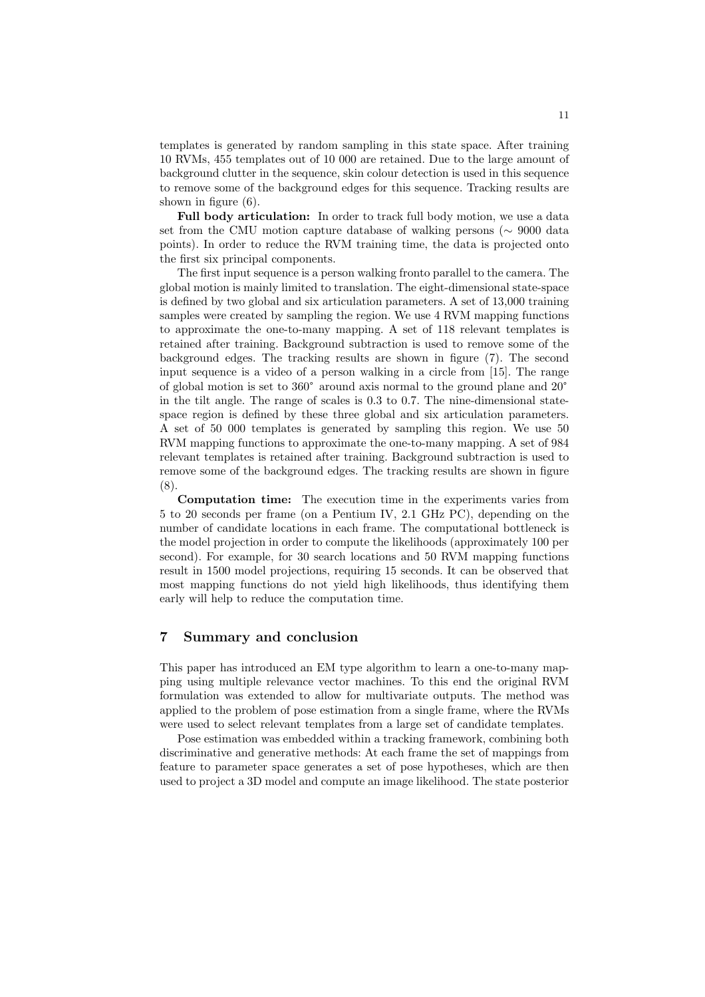templates is generated by random sampling in this state space. After training 10 RVMs, 455 templates out of 10 000 are retained. Due to the large amount of background clutter in the sequence, skin colour detection is used in this sequence to remove some of the background edges for this sequence. Tracking results are shown in figure (6).

Full body articulation: In order to track full body motion, we use a data set from the CMU motion capture database of walking persons (∼ 9000 data points). In order to reduce the RVM training time, the data is projected onto the first six principal components.

The first input sequence is a person walking fronto parallel to the camera. The global motion is mainly limited to translation. The eight-dimensional state-space is defined by two global and six articulation parameters. A set of 13,000 training samples were created by sampling the region. We use 4 RVM mapping functions to approximate the one-to-many mapping. A set of 118 relevant templates is retained after training. Background subtraction is used to remove some of the background edges. The tracking results are shown in figure (7). The second input sequence is a video of a person walking in a circle from [15]. The range of global motion is set to 360° around axis normal to the ground plane and 20° in the tilt angle. The range of scales is 0.3 to 0.7. The nine-dimensional statespace region is defined by these three global and six articulation parameters. A set of 50 000 templates is generated by sampling this region. We use 50 RVM mapping functions to approximate the one-to-many mapping. A set of 984 relevant templates is retained after training. Background subtraction is used to remove some of the background edges. The tracking results are shown in figure (8).

Computation time: The execution time in the experiments varies from 5 to 20 seconds per frame (on a Pentium IV, 2.1 GHz PC), depending on the number of candidate locations in each frame. The computational bottleneck is the model projection in order to compute the likelihoods (approximately 100 per second). For example, for 30 search locations and 50 RVM mapping functions result in 1500 model projections, requiring 15 seconds. It can be observed that most mapping functions do not yield high likelihoods, thus identifying them early will help to reduce the computation time.

#### 7 Summary and conclusion

This paper has introduced an EM type algorithm to learn a one-to-many mapping using multiple relevance vector machines. To this end the original RVM formulation was extended to allow for multivariate outputs. The method was applied to the problem of pose estimation from a single frame, where the RVMs were used to select relevant templates from a large set of candidate templates.

Pose estimation was embedded within a tracking framework, combining both discriminative and generative methods: At each frame the set of mappings from feature to parameter space generates a set of pose hypotheses, which are then used to project a 3D model and compute an image likelihood. The state posterior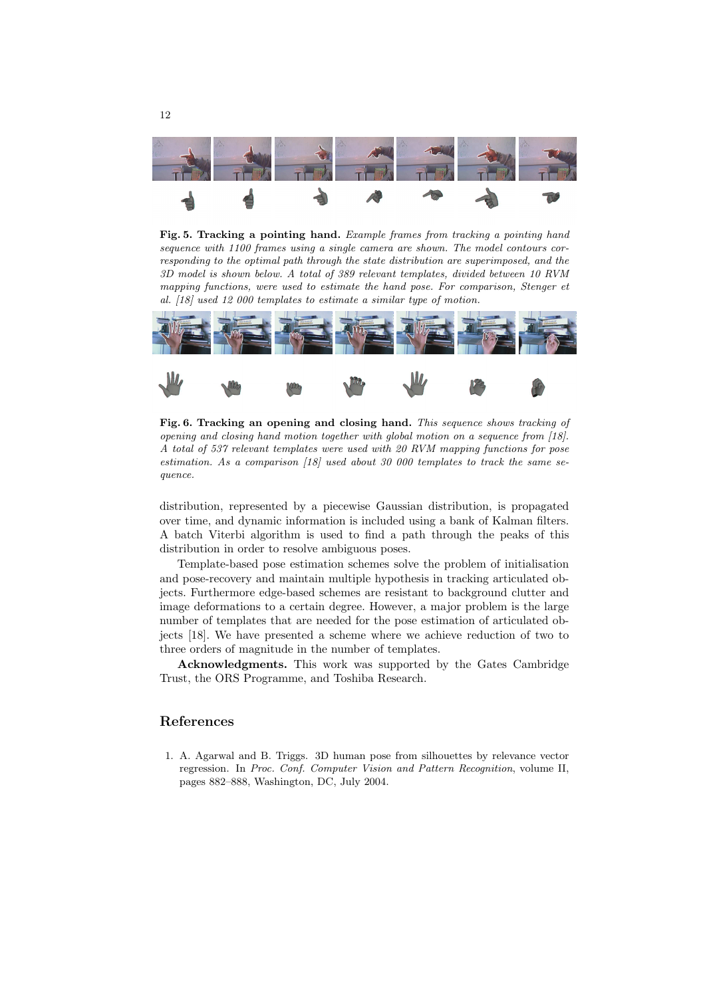

Fig. 5. Tracking a pointing hand. Example frames from tracking a pointing hand sequence with 1100 frames using a single camera are shown. The model contours corresponding to the optimal path through the state distribution are superimposed, and the 3D model is shown below. A total of 389 relevant templates, divided between 10 RVM mapping functions, were used to estimate the hand pose. For comparison, Stenger et al. [18] used 12 000 templates to estimate a similar type of motion.



Fig. 6. Tracking an opening and closing hand. This sequence shows tracking of opening and closing hand motion together with global motion on a sequence from [18]. A total of 537 relevant templates were used with 20 RVM mapping functions for pose estimation. As a comparison [18] used about 30 000 templates to track the same sequence.

distribution, represented by a piecewise Gaussian distribution, is propagated over time, and dynamic information is included using a bank of Kalman filters. A batch Viterbi algorithm is used to find a path through the peaks of this distribution in order to resolve ambiguous poses.

Template-based pose estimation schemes solve the problem of initialisation and pose-recovery and maintain multiple hypothesis in tracking articulated objects. Furthermore edge-based schemes are resistant to background clutter and image deformations to a certain degree. However, a major problem is the large number of templates that are needed for the pose estimation of articulated objects [18]. We have presented a scheme where we achieve reduction of two to three orders of magnitude in the number of templates.

Acknowledgments. This work was supported by the Gates Cambridge Trust, the ORS Programme, and Toshiba Research.

### References

1. A. Agarwal and B. Triggs. 3D human pose from silhouettes by relevance vector regression. In Proc. Conf. Computer Vision and Pattern Recognition, volume II, pages 882–888, Washington, DC, July 2004.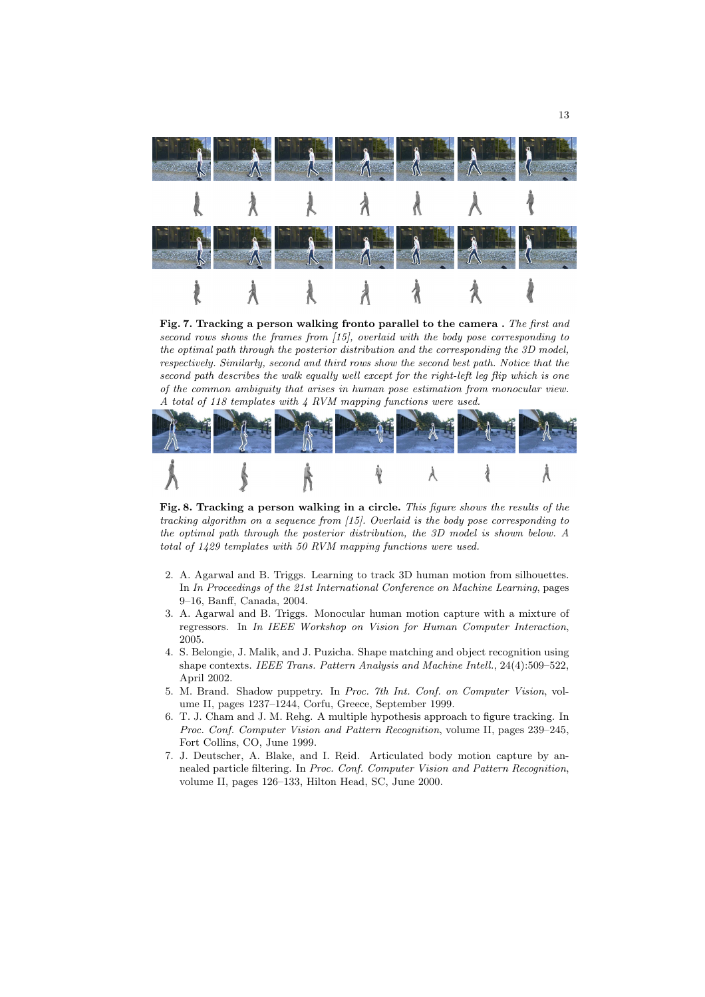

Fig. 7. Tracking a person walking fronto parallel to the camera . The first and second rows shows the frames from [15], overlaid with the body pose corresponding to the optimal path through the posterior distribution and the corresponding the 3D model, respectively. Similarly, second and third rows show the second best path. Notice that the second path describes the walk equally well except for the right-left leg flip which is one of the common ambiguity that arises in human pose estimation from monocular view. A total of 118 templates with 4 RVM mapping functions were used.



Fig. 8. Tracking a person walking in a circle. This figure shows the results of the tracking algorithm on a sequence from [15]. Overlaid is the body pose corresponding to the optimal path through the posterior distribution, the 3D model is shown below. A total of 1429 templates with 50 RVM mapping functions were used.

- 2. A. Agarwal and B. Triggs. Learning to track 3D human motion from silhouettes. In In Proceedings of the 21st International Conference on Machine Learning, pages 9–16, Banff, Canada, 2004.
- 3. A. Agarwal and B. Triggs. Monocular human motion capture with a mixture of regressors. In In IEEE Workshop on Vision for Human Computer Interaction, 2005.
- 4. S. Belongie, J. Malik, and J. Puzicha. Shape matching and object recognition using shape contexts. IEEE Trans. Pattern Analysis and Machine Intell., 24(4):509–522, April 2002.
- 5. M. Brand. Shadow puppetry. In Proc. 7th Int. Conf. on Computer Vision, volume II, pages 1237–1244, Corfu, Greece, September 1999.
- 6. T. J. Cham and J. M. Rehg. A multiple hypothesis approach to figure tracking. In Proc. Conf. Computer Vision and Pattern Recognition, volume II, pages 239–245, Fort Collins, CO, June 1999.
- 7. J. Deutscher, A. Blake, and I. Reid. Articulated body motion capture by annealed particle filtering. In Proc. Conf. Computer Vision and Pattern Recognition, volume II, pages 126–133, Hilton Head, SC, June 2000.